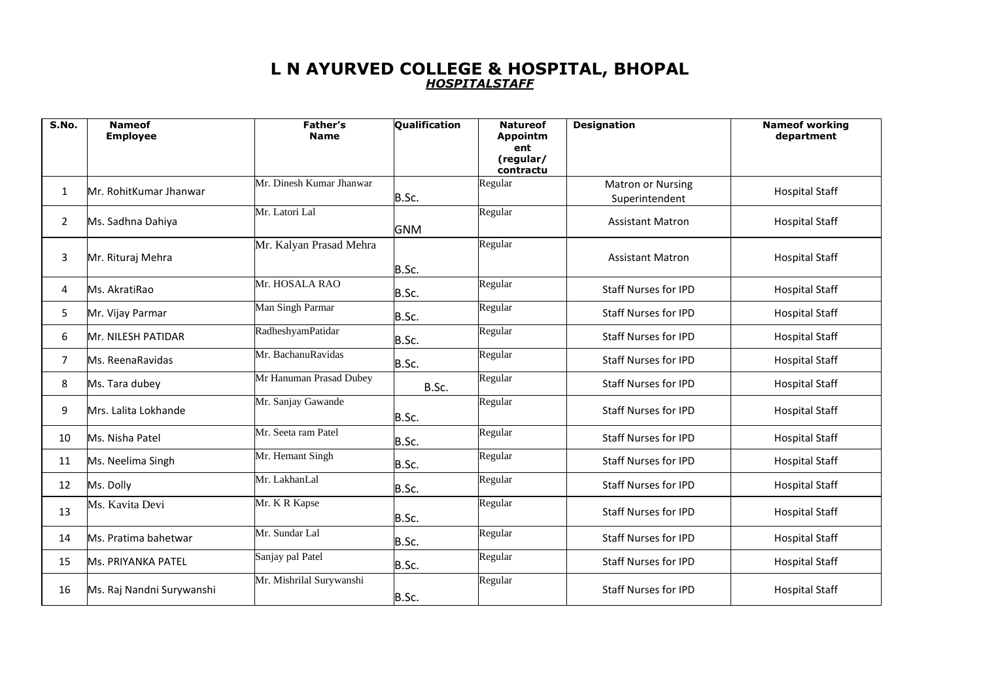## **L N AYURVED COLLEGE & HOSPITAL, BHOPAL** *HOSPITALSTAFF*

| S.No. | <b>Nameof</b><br><b>Employee</b> | Father's<br><b>Name</b>  | <b>Oualification</b> | <b>Natureof</b><br><b>Appointm</b> | <b>Designation</b>          | <b>Nameof working</b><br>department |
|-------|----------------------------------|--------------------------|----------------------|------------------------------------|-----------------------------|-------------------------------------|
|       |                                  |                          |                      | ent<br>(regular/                   |                             |                                     |
|       |                                  |                          |                      | contractu                          |                             |                                     |
| 1     | Mr. RohitKumar Jhanwar           | Mr. Dinesh Kumar Jhanwar |                      | Regular                            | <b>Matron or Nursing</b>    | <b>Hospital Staff</b>               |
|       |                                  |                          | B.Sc.                |                                    | Superintendent              |                                     |
| 2     | Ms. Sadhna Dahiya                | Mr. Latori Lal           |                      | Regular                            | <b>Assistant Matron</b>     | <b>Hospital Staff</b>               |
|       |                                  |                          | GNM                  |                                    |                             |                                     |
|       |                                  | Mr. Kalyan Prasad Mehra  |                      | Regular                            | <b>Assistant Matron</b>     |                                     |
| 3     | Mr. Rituraj Mehra                |                          | B.Sc.                |                                    |                             | <b>Hospital Staff</b>               |
| 4     | Ms. AkratiRao                    | Mr. HOSALA RAO           | B.Sc.                | Regular                            | <b>Staff Nurses for IPD</b> | <b>Hospital Staff</b>               |
| 5     | Mr. Vijay Parmar                 | Man Singh Parmar         | B.Sc.                | Regular                            | <b>Staff Nurses for IPD</b> | <b>Hospital Staff</b>               |
| 6     | Mr. NILESH PATIDAR               | RadheshyamPatidar        | B.Sc.                | Regular                            | <b>Staff Nurses for IPD</b> | <b>Hospital Staff</b>               |
| 7     | Ms. ReenaRavidas                 | Mr. BachanuRavidas       | B.Sc.                | Regular                            | <b>Staff Nurses for IPD</b> | <b>Hospital Staff</b>               |
| 8     | Ms. Tara dubey                   | Mr Hanuman Prasad Dubey  | B.Sc.                | Regular                            | <b>Staff Nurses for IPD</b> | <b>Hospital Staff</b>               |
| 9     | Mrs. Lalita Lokhande             | Mr. Sanjay Gawande       | B.Sc.                | Regular                            | <b>Staff Nurses for IPD</b> | <b>Hospital Staff</b>               |
| 10    | Ms. Nisha Patel                  | Mr. Seeta ram Patel      | B.Sc.                | Regular                            | <b>Staff Nurses for IPD</b> | <b>Hospital Staff</b>               |
| 11    | Ms. Neelima Singh                | Mr. Hemant Singh         | B.Sc.                | Regular                            | <b>Staff Nurses for IPD</b> | <b>Hospital Staff</b>               |
| 12    | Ms. Dolly                        | Mr. LakhanLal            | B.Sc.                | Regular                            | <b>Staff Nurses for IPD</b> | <b>Hospital Staff</b>               |
| 13    | Ms. Kavita Devi                  | Mr. K R Kapse            | B.Sc.                | Regular                            | <b>Staff Nurses for IPD</b> | <b>Hospital Staff</b>               |
| 14    | Ms. Pratima bahetwar             | Mr. Sundar Lal           | B.Sc.                | Regular                            | <b>Staff Nurses for IPD</b> | <b>Hospital Staff</b>               |
| 15    | <b>Ms. PRIYANKA PATEL</b>        | Sanjay pal Patel         | B.Sc.                | Regular                            | <b>Staff Nurses for IPD</b> | <b>Hospital Staff</b>               |
| 16    | Ms. Raj Nandni Surywanshi        | Mr. Mishrilal Surywanshi | B.Sc.                | Regular                            | <b>Staff Nurses for IPD</b> | <b>Hospital Staff</b>               |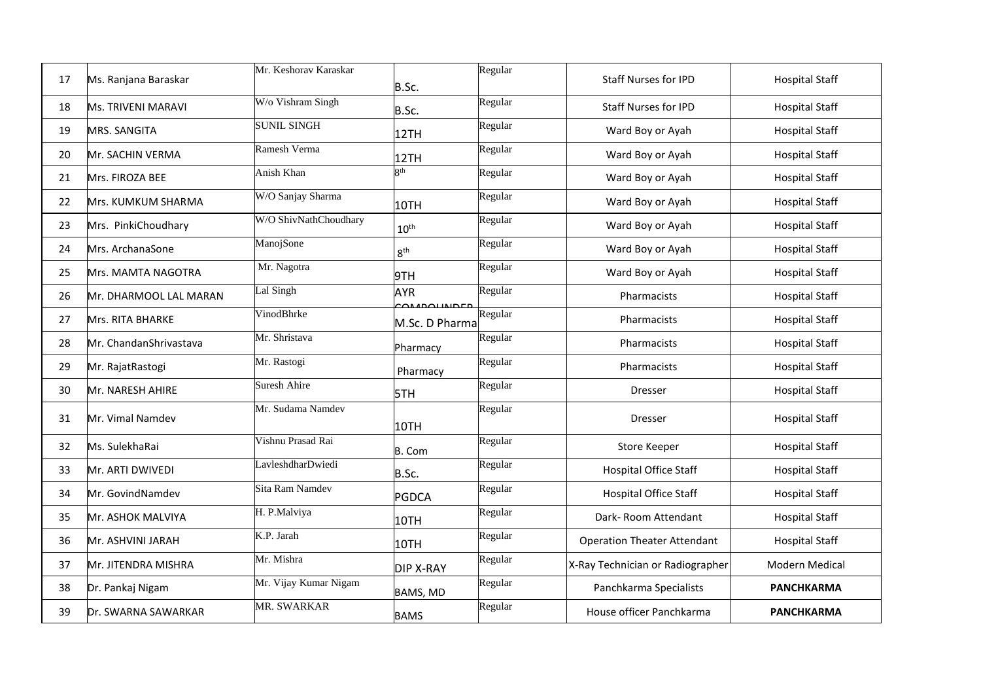| 17 | Ms. Ranjana Baraskar       | Mr. Keshorav Karaskar | B.Sc.                                 | Regular | <b>Staff Nurses for IPD</b>        | <b>Hospital Staff</b> |
|----|----------------------------|-----------------------|---------------------------------------|---------|------------------------------------|-----------------------|
| 18 | <b>Ms. TRIVENI MARAVI</b>  | W/o Vishram Singh     | B.Sc.                                 | Regular | <b>Staff Nurses for IPD</b>        | <b>Hospital Staff</b> |
| 19 | MRS. SANGITA               | <b>SUNIL SINGH</b>    | 12TH                                  | Regular | Ward Boy or Ayah                   | <b>Hospital Staff</b> |
| 20 | Mr. SACHIN VERMA           | Ramesh Verma          | 12TH                                  | Regular | Ward Boy or Ayah                   | <b>Hospital Staff</b> |
| 21 | Mrs. FIROZA BEE            | Anish Khan            | $\overline{\mathbf{R}}$ <sup>th</sup> | Regular | Ward Boy or Ayah                   | <b>Hospital Staff</b> |
| 22 | <b>IMrs. KUMKUM SHARMA</b> | W/O Sanjay Sharma     | 10TH                                  | Regular | Ward Boy or Ayah                   | <b>Hospital Staff</b> |
| 23 | Mrs. PinkiChoudhary        | W/O ShivNathChoudhary | 10 <sup>th</sup>                      | Regular | Ward Boy or Ayah                   | <b>Hospital Staff</b> |
| 24 | Mrs. ArchanaSone           | ManojSone             | 8 <sup>th</sup>                       | Regular | Ward Boy or Ayah                   | <b>Hospital Staff</b> |
| 25 | Mrs. MAMTA NAGOTRA         | Mr. Nagotra           | 9TH                                   | Regular | Ward Boy or Ayah                   | <b>Hospital Staff</b> |
| 26 | Mr. DHARMOOL LAL MARAN     | Lal Singh             | <b>AYR</b><br><b>DOUNIDER</b>         | Regular | Pharmacists                        | <b>Hospital Staff</b> |
| 27 | Mrs. RITA BHARKE           | VinodBhrke            | M.Sc. D Pharma                        | Regular | Pharmacists                        | <b>Hospital Staff</b> |
| 28 | Mr. ChandanShrivastava     | Mr. Shristava         | Pharmacy                              | Regular | <b>Pharmacists</b>                 | <b>Hospital Staff</b> |
| 29 | Mr. RajatRastogi           | Mr. Rastogi           | Pharmacy                              | Regular | Pharmacists                        | <b>Hospital Staff</b> |
| 30 | Mr. NARESH AHIRE           | Suresh Ahire          | 5TH                                   | Regular | <b>Dresser</b>                     | <b>Hospital Staff</b> |
| 31 | Mr. Vimal Namdev           | Mr. Sudama Namdev     | 10TH                                  | Regular | Dresser                            | <b>Hospital Staff</b> |
| 32 | Ms. SulekhaRai             | Vishnu Prasad Rai     | B. Com                                | Regular | <b>Store Keeper</b>                | <b>Hospital Staff</b> |
| 33 | Mr. ARTI DWIVEDI           | LavleshdharDwiedi     | B.Sc.                                 | Regular | Hospital Office Staff              | <b>Hospital Staff</b> |
| 34 | Mr. GovindNamdev           | Sita Ram Namdev       | <b>PGDCA</b>                          | Regular | Hospital Office Staff              | <b>Hospital Staff</b> |
| 35 | Mr. ASHOK MALVIYA          | H. P.Malviya          | 10TH                                  | Regular | Dark-Room Attendant                | <b>Hospital Staff</b> |
| 36 | Mr. ASHVINI JARAH          | K.P. Jarah            | 10TH                                  | Regular | <b>Operation Theater Attendant</b> | <b>Hospital Staff</b> |
| 37 | Mr. JITENDRA MISHRA        | Mr. Mishra            | <b>DIP X-RAY</b>                      | Regular | X-Ray Technician or Radiographer   | Modern Medical        |
| 38 | Dr. Pankaj Nigam           | Mr. Vijay Kumar Nigam | <b>BAMS, MD</b>                       | Regular | Panchkarma Specialists             | <b>PANCHKARMA</b>     |
| 39 | Dr. SWARNA SAWARKAR        | <b>MR. SWARKAR</b>    | <b>BAMS</b>                           | Regular | House officer Panchkarma           | <b>PANCHKARMA</b>     |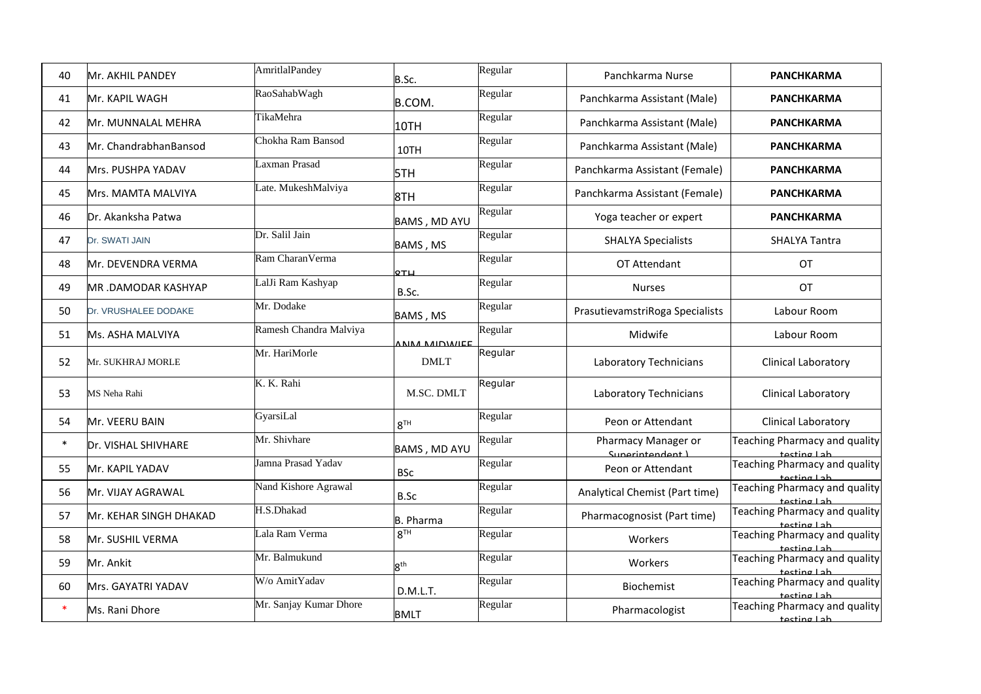| 40     | Mr. AKHIL PANDEY       | AmritlalPandey         | B.Sc.           | Regular | Panchkarma Nurse                        | <b>PANCHKARMA</b>                               |
|--------|------------------------|------------------------|-----------------|---------|-----------------------------------------|-------------------------------------------------|
| 41     | Mr. KAPIL WAGH         | RaoSahabWagh           | B.COM.          | Regular | Panchkarma Assistant (Male)             | <b>PANCHKARMA</b>                               |
| 42     | Mr. MUNNALAL MEHRA     | TikaMehra              | 10TH            | Regular | Panchkarma Assistant (Male)             | <b>PANCHKARMA</b>                               |
| 43     | Mr. ChandrabhanBansod  | Chokha Ram Bansod      | 10TH            | Regular | Panchkarma Assistant (Male)             | <b>PANCHKARMA</b>                               |
| 44     | Mrs. PUSHPA YADAV      | Laxman Prasad          | 5TH             | Regular | Panchkarma Assistant (Female)           | <b>PANCHKARMA</b>                               |
| 45     | Mrs. MAMTA MALVIYA     | Late. MukeshMalviya    | 8TH             | Regular | Panchkarma Assistant (Female)           | <b>PANCHKARMA</b>                               |
| 46     | Dr. Akanksha Patwa     |                        | BAMS, MD AYU    | Regular | Yoga teacher or expert                  | <b>PANCHKARMA</b>                               |
| 47     | Dr. SWATI JAIN         | Dr. Salil Jain         | BAMS, MS        | Regular | <b>SHALYA Specialists</b>               | <b>SHALYA Tantra</b>                            |
| 48     | Mr. DEVENDRA VERMA     | Ram CharanVerma        | QTH             | Regular | OT Attendant                            | OT                                              |
| 49     | MR.DAMODAR KASHYAP     | LalJi Ram Kashyap      | B.Sc.           | Regular | <b>Nurses</b>                           | <b>OT</b>                                       |
| 50     | Dr. VRUSHALEE DODAKE   | Mr. Dodake             | BAMS, MS        | Regular | PrasutievamstriRoga Specialists         | Labour Room                                     |
| 51     | Ms. ASHA MALVIYA       | Ramesh Chandra Malviya | ANNA MIDWIEE    | Regular | Midwife                                 | Labour Room                                     |
| 52     | Mr. SUKHRAJ MORLE      | Mr. HariMorle          | <b>DMLT</b>     | Regular | Laboratory Technicians                  | <b>Clinical Laboratory</b>                      |
| 53     | MS Neha Rahi           | K. K. Rahi             | M.SC. DMLT      | Regular | Laboratory Technicians                  | Clinical Laboratory                             |
| 54     | Mr. VEERU BAIN         | GyarsiLal              | 8 <sup>TH</sup> | Regular | Peon or Attendant                       | Clinical Laboratory                             |
| $\ast$ | Dr. VISHAL SHIVHARE    | Mr. Shivhare           | BAMS, MD AYU    | Regular | Pharmacy Manager or<br>Superintendent L | Teaching Pharmacy and quality<br>$t$ acting Lah |
| 55     | Mr. KAPIL YADAV        | Jamna Prasad Yadav     | <b>BSc</b>      | Regular | Peon or Attendant                       | Teaching Pharmacy and quality<br>tecting Lah    |
| 56     | Mr. VIJAY AGRAWAL      | Nand Kishore Agrawal   | B.Sc            | Regular | Analytical Chemist (Part time)          | Teaching Pharmacy and quality<br>tecting Lah    |
| 57     | Mr. KEHAR SINGH DHAKAD | H.S.Dhakad             | B. Pharma       | Regular | Pharmacognosist (Part time)             | Teaching Pharmacy and quality<br>tecting Lah    |
| 58     | Mr. SUSHIL VERMA       | Lala Ram Verma         | 8 <sup>TH</sup> | Regular | Workers                                 | Teaching Pharmacy and quality<br>tecting Lah    |
| 59     | Mr. Ankit              | Mr. Balmukund          | 8 <sup>th</sup> | Regular | Workers                                 | Teaching Pharmacy and quality<br>tecting Lah    |
| 60     | Mrs. GAYATRI YADAV     | W/o AmitYadav          | D.M.L.T.        | Regular | Biochemist                              | Teaching Pharmacy and quality<br>tecting Lah    |
| $\ast$ | Ms. Rani Dhore         | Mr. Sanjay Kumar Dhore | <b>BMLT</b>     | Regular | Pharmacologist                          | Teaching Pharmacy and quality<br>tecting Lah    |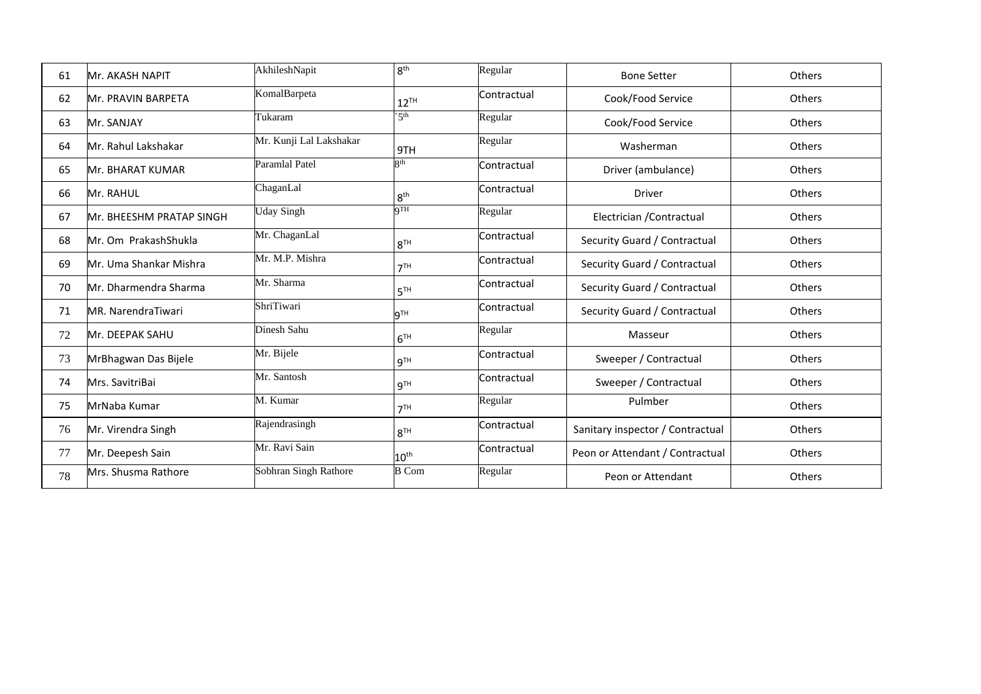| 61 | Mr. AKASH NAPIT           | AkhileshNapit           | 8 <sup>th</sup>  | Regular     | <b>Bone Setter</b>               | Others        |
|----|---------------------------|-------------------------|------------------|-------------|----------------------------------|---------------|
| 62 | <b>Mr. PRAVIN BARPETA</b> | KomalBarpeta            | $12^{TH}$        | Contractual | Cook/Food Service                | <b>Others</b> |
| 63 | Mr. SANJAY                | Tukaram                 | 5 <sup>th</sup>  | Regular     | Cook/Food Service                | Others        |
| 64 | Mr. Rahul Lakshakar       | Mr. Kunji Lal Lakshakar | 9TH              | Regular     | Washerman                        | <b>Others</b> |
| 65 | <b>Mr. BHARAT KUMAR</b>   | Paramlal Patel          | Qth              | Contractual | Driver (ambulance)               | <b>Others</b> |
| 66 | Mr. RAHUL                 | ChaganLal               | 8 <sup>th</sup>  | Contractual | Driver                           | <b>Others</b> |
| 67 | lMr. BHEESHM PRATAP SINGH | <b>Uday Singh</b>       | QTH              | Regular     | Electrician / Contractual        | <b>Others</b> |
| 68 | Mr. Om PrakashShukla      | Mr. ChaganLal           | 8 <sup>TH</sup>  | Contractual | Security Guard / Contractual     | Others        |
| 69 | Mr. Uma Shankar Mishra    | Mr. M.P. Mishra         | 7 <sup>TH</sup>  | Contractual | Security Guard / Contractual     | <b>Others</b> |
| 70 | Mr. Dharmendra Sharma     | Mr. Sharma              | 5 <sup>TH</sup>  | Contractual | Security Guard / Contractual     | <b>Others</b> |
| 71 | MR. NarendraTiwari        | ShriTiwari              | 9 <sup>TH</sup>  | Contractual | Security Guard / Contractual     | <b>Others</b> |
| 72 | Mr. DEEPAK SAHU           | Dinesh Sahu             | 6 <sup>TH</sup>  | Regular     | Masseur                          | <b>Others</b> |
| 73 | MrBhagwan Das Bijele      | Mr. Bijele              | 9 <sup>TH</sup>  | Contractual | Sweeper / Contractual            | Others        |
| 74 | Mrs. SavitriBai           | Mr. Santosh             | 9 <sup>TH</sup>  | Contractual | Sweeper / Contractual            | <b>Others</b> |
| 75 | MrNaba Kumar              | M. Kumar                | 7 <sup>TH</sup>  | Regular     | Pulmber                          | Others        |
| 76 | Mr. Virendra Singh        | Rajendrasingh           | 8 <sup>TH</sup>  | Contractual | Sanitary inspector / Contractual | <b>Others</b> |
| 77 | Mr. Deepesh Sain          | Mr. Ravi Sain           | 10 <sup>th</sup> | Contractual | Peon or Attendant / Contractual  | <b>Others</b> |
| 78 | Mrs. Shusma Rathore       | Sobhran Singh Rathore   | <b>B</b> Com     | Regular     | Peon or Attendant                | Others        |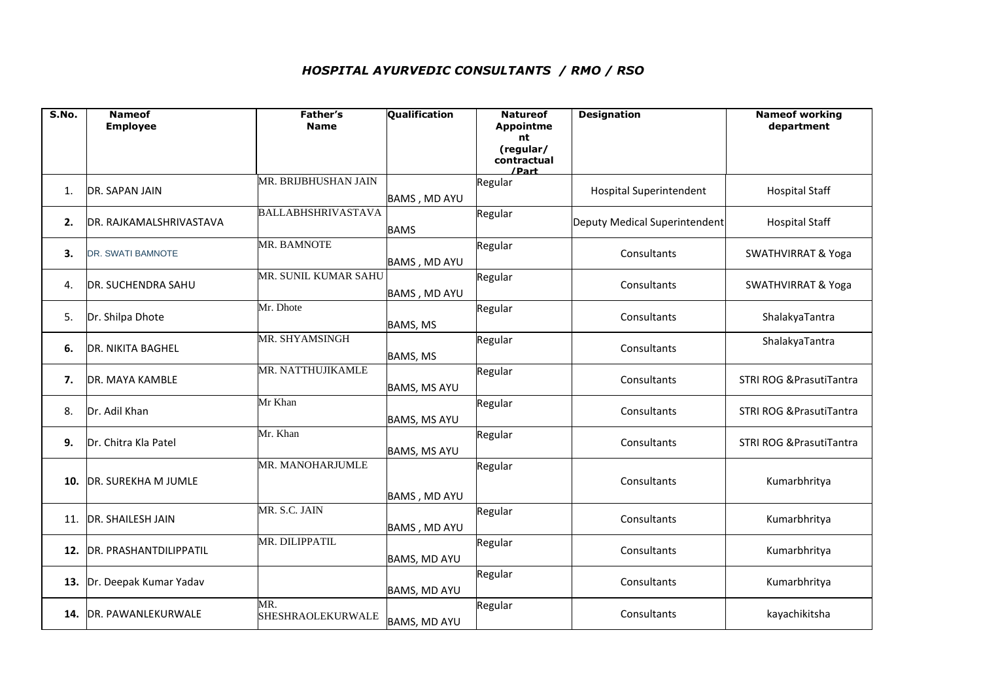## *HOSPITAL AYURVEDIC CONSULTANTS / RMO / RSO*

| S.No. | <b>Nameof</b><br><b>Employee</b> | Father's<br><b>Name</b>   | Qualification       | <b>Natureof</b><br><b>Appointme</b> | <b>Designation</b>             | <b>Nameof working</b><br>department |
|-------|----------------------------------|---------------------------|---------------------|-------------------------------------|--------------------------------|-------------------------------------|
|       |                                  |                           |                     | nt                                  |                                |                                     |
|       |                                  |                           |                     | (regular/<br>contractual<br>/Part   |                                |                                     |
| 1.    | DR. SAPAN JAIN                   | MR. BRIJBHUSHAN JAIN      | <b>BAMS, MD AYU</b> | Regular                             | <b>Hospital Superintendent</b> | <b>Hospital Staff</b>               |
| 2.    | DR. RAJKAMALSHRIVASTAVA          | <b>BALLABHSHRIVASTAVA</b> | <b>BAMS</b>         | Regular                             | Deputy Medical Superintendent  | <b>Hospital Staff</b>               |
| 3.    | DR. SWATI BAMNOTE                | MR. BAMNOTE               | <b>BAMS, MD AYU</b> | Regular                             | Consultants                    | <b>SWATHVIRRAT &amp; Yoga</b>       |
| 4.    | <b>DR. SUCHENDRA SAHU</b>        | MR. SUNIL KUMAR SAHU      | <b>BAMS, MD AYU</b> | Regular                             | Consultants                    | <b>SWATHVIRRAT &amp; Yoga</b>       |
| 5.    | Dr. Shilpa Dhote                 | Mr. Dhote                 | BAMS, MS            | Regular                             | Consultants                    | ShalakyaTantra                      |
| 6.    | <b>DR. NIKITA BAGHEL</b>         | MR. SHYAMSINGH            | BAMS, MS            | Regular                             | Consultants                    | ShalakyaTantra                      |
| 7.    | DR. MAYA KAMBLE                  | MR. NATTHUJIKAMLE         | <b>BAMS, MS AYU</b> | Regular                             | Consultants                    | <b>STRI ROG &amp; PrasutiTantra</b> |
| 8.    | Dr. Adil Khan                    | Mr Khan                   | <b>BAMS, MS AYU</b> | Regular                             | Consultants                    | <b>STRI ROG &amp; PrasutiTantra</b> |
| 9.    | Dr. Chitra Kla Patel             | Mr. Khan                  | <b>BAMS, MS AYU</b> | Regular                             | Consultants                    | STRI ROG & PrasutiTantra            |
| 10.   | DR. SUREKHA M JUMLE              | MR. MANOHARJUMLE          | <b>BAMS, MD AYU</b> | Regular                             | Consultants                    | Kumarbhritya                        |
| 11.   | <b>DR. SHAILESH JAIN</b>         | MR. S.C. JAIN             | BAMS, MD AYU        | Regular                             | Consultants                    | Kumarbhritya                        |
| 12.   | DR. PRASHANTDILIPPATIL           | MR. DILIPPATIL            | <b>BAMS, MD AYU</b> | Regular                             | Consultants                    | Kumarbhritya                        |
| 13.   | Dr. Deepak Kumar Yadav           |                           | <b>BAMS, MD AYU</b> | Regular                             | Consultants                    | Kumarbhritya                        |
| 14.   | DR. PAWANLEKURWALE               | MR.<br>SHESHRAOLEKURWALE  | <b>BAMS, MD AYU</b> | Regular                             | Consultants                    | kayachikitsha                       |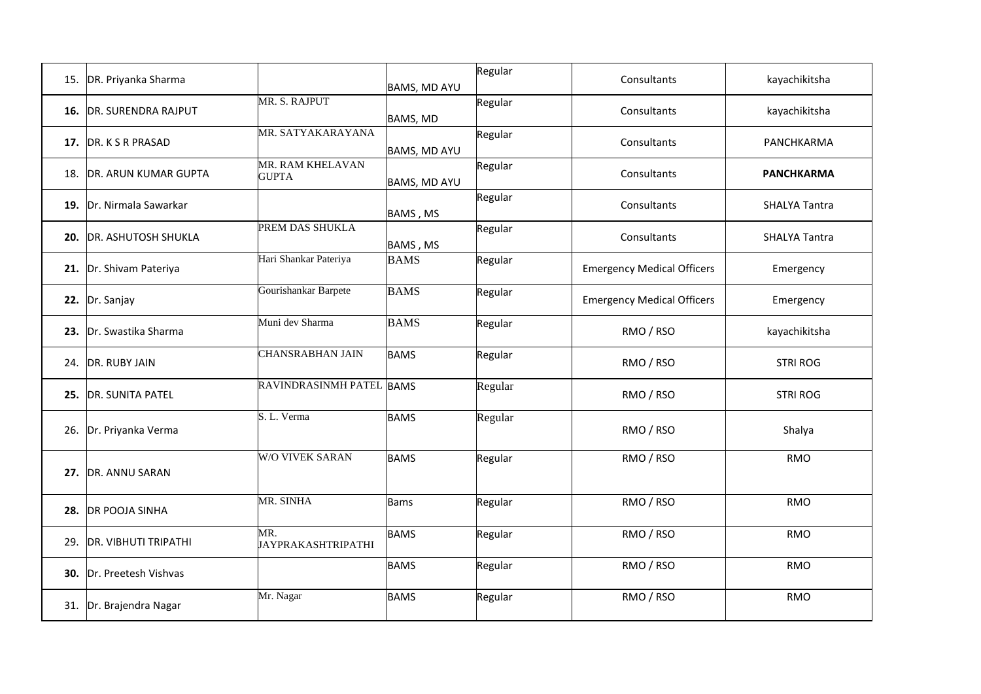|     | 15. DR. Priyanka Sharma     |                                  | BAMS, MD AYU | Regular | Consultants                       | kayachikitsha        |
|-----|-----------------------------|----------------------------------|--------------|---------|-----------------------------------|----------------------|
|     | 16. DR. SURENDRA RAJPUT     | MR. S. RAJPUT                    | BAMS, MD     | Regular | Consultants                       | kayachikitsha        |
|     | 17. DR. K S R PRASAD        | MR. SATYAKARAYANA                | BAMS, MD AYU | Regular | Consultants                       | PANCHKARMA           |
|     | 18. DR. ARUN KUMAR GUPTA    | MR. RAM KHELAVAN<br><b>GUPTA</b> | BAMS, MD AYU | Regular | Consultants                       | <b>PANCHKARMA</b>    |
|     | 19. Dr. Nirmala Sawarkar    |                                  | BAMS, MS     | Regular | Consultants                       | <b>SHALYA Tantra</b> |
|     | 20. DR. ASHUTOSH SHUKLA     | PREM DAS SHUKLA                  | BAMS, MS     | Regular | Consultants                       | <b>SHALYA Tantra</b> |
|     | 21. Dr. Shivam Pateriya     | Hari Shankar Pateriya            | <b>BAMS</b>  | Regular | <b>Emergency Medical Officers</b> | Emergency            |
|     | 22. Dr. Sanjay              | Gourishankar Barpete             | <b>BAMS</b>  | Regular | <b>Emergency Medical Officers</b> | Emergency            |
|     | 23. Dr. Swastika Sharma     | Muni dev Sharma                  | <b>BAMS</b>  | Regular | RMO / RSO                         | kayachikitsha        |
| 24. | DR. RUBY JAIN               | <b>CHANSRABHAN JAIN</b>          | <b>BAMS</b>  | Regular | RMO / RSO                         | <b>STRI ROG</b>      |
|     | 25. DR. SUNITA PATEL        | RAVINDRASINMH PATEL BAMS         |              | Regular | RMO / RSO                         | <b>STRI ROG</b>      |
|     | 26. Dr. Priyanka Verma      | S. L. Verma                      | <b>BAMS</b>  | Regular | RMO / RSO                         | Shalya               |
|     | 27. DR. ANNU SARAN          | <b>W/O VIVEK SARAN</b>           | <b>BAMS</b>  | Regular | RMO / RSO                         | <b>RMO</b>           |
|     | 28. DR POOJA SINHA          | MR. SINHA                        | <b>Bams</b>  | Regular | RMO / RSO                         | <b>RMO</b>           |
| 29. | <b>DR. VIBHUTI TRIPATHI</b> | MR.<br><b>JAYPRAKASHTRIPATHI</b> | <b>BAMS</b>  | Regular | RMO / RSO                         | <b>RMO</b>           |
|     | 30. Dr. Preetesh Vishvas    |                                  | <b>BAMS</b>  | Regular | RMO / RSO                         | <b>RMO</b>           |
|     | 31. Dr. Brajendra Nagar     | Mr. Nagar                        | <b>BAMS</b>  | Regular | RMO / RSO                         | <b>RMO</b>           |